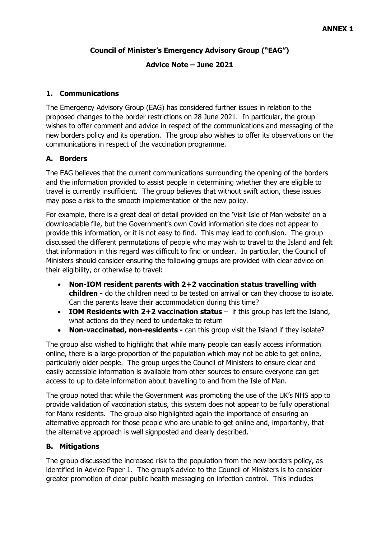#### **Council of Minister's Emergency Advisory Group ("EAG")**

#### **Advice Note – June 2021**

#### **1. Communications**

The Emergency Advisory Group (EAG) has considered further issues in relation to the proposed changes to the border restrictions on 28 June 2021. In particular, the group wishes to offer comment and advice in respect of the communications and messaging of the new borders policy and its operation. The group also wishes to offer its observations on the communications in respect of the vaccination programme.

#### **A. Borders**

The EAG believes that the current communications surrounding the opening of the borders and the information provided to assist people in determining whether they are eligible to travel is currently insufficient. The group believes that without swift action, these issues may pose a risk to the smooth implementation of the new policy.

For example, there is a great deal of detail provided on the 'Visit Isle of Man website' on a downloadable file, but the Government's own Covid information site does not appear to provide this information, or it is not easy to find. This may lead to confusion. The group discussed the different permutations of people who may wish to travel to the Island and felt that information in this regard was difficult to find or unclear. In particular, the Council of Ministers should consider ensuring the following groups are provided with clear advice on their eligibility, or otherwise to travel:

- **Non-IOM resident parents with 2+2 vaccination status travelling with children -** do the children need to be tested on arrival or can they choose to isolate. Can the parents leave their accommodation during this time?
- **IOM Residents with 2+2 vaccination status** if this group has left the Island, what actions do they need to undertake to return
- **Non-vaccinated, non-residents -** can this group visit the Island if they isolate?

The group also wished to highlight that while many people can easily access information online, there is a large proportion of the population which may not be able to get online, particularly older people. The group urges the Council of Ministers to ensure clear and easily accessible information is available from other sources to ensure everyone can get access to up to date information about travelling to and from the Isle of Man.

The group noted that while the Government was promoting the use of the UK's NHS app to provide validation of vaccination status, this system does not appear to be fully operational for Manx residents. The group also highlighted again the importance of ensuring an alternative approach for those people who are unable to get online and, importantly, that the alternative approach is well signposted and clearly described.

#### **B. Mitigations**

The group discussed the increased risk to the population from the new borders policy, as identified in Advice Paper 1. The group's advice to the Council of Ministers is to consider greater promotion of clear public health messaging on infection control. This includes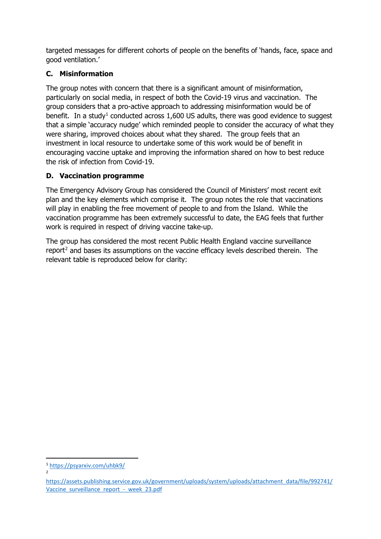targeted messages for different cohorts of people on the benefits of 'hands, face, space and good ventilation.'

## **C. Misinformation**

The group notes with concern that there is a significant amount of misinformation, particularly on social media, in respect of both the Covid-19 virus and vaccination. The group considers that a pro-active approach to addressing misinformation would be of benefit. In a study<sup>[1](#page-1-0)</sup> conducted across 1,600 US adults, there was good evidence to suggest that a simple 'accuracy nudge' which reminded people to consider the accuracy of what they were sharing, improved choices about what they shared. The group feels that an investment in local resource to undertake some of this work would be of benefit in encouraging vaccine uptake and improving the information shared on how to best reduce the risk of infection from Covid-19.

## **D. Vaccination programme**

The Emergency Advisory Group has considered the Council of Ministers' most recent exit plan and the key elements which comprise it. The group notes the role that vaccinations will play in enabling the free movement of people to and from the Island. While the vaccination programme has been extremely successful to date, the EAG feels that further work is required in respect of driving vaccine take-up.

The group has considered the most recent Public Health England vaccine surveillance report<sup>[2](#page-1-1)</sup> and bases its assumptions on the vaccine efficacy levels described therein. The relevant table is reproduced below for clarity:

<span id="page-1-0"></span><sup>1</sup> <https://psyarxiv.com/uhbk9/> 2

<span id="page-1-1"></span>[https://assets.publishing.service.gov.uk/government/uploads/system/uploads/attachment\\_data/file/992741/](https://assets.publishing.service.gov.uk/government/uploads/system/uploads/attachment_data/file/992741/Vaccine_surveillance_report_-_week_23.pdf) Vaccine surveillance report - week 23.pdf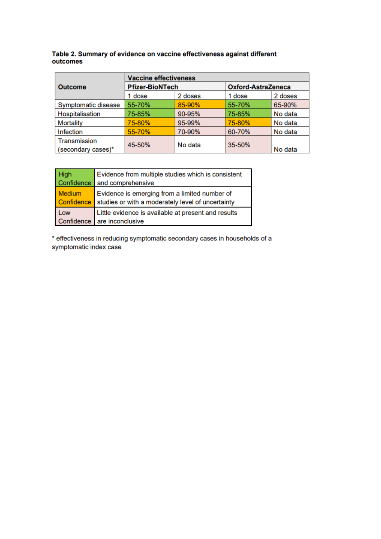| Table 2. Summary of evidence on vaccine effectiveness against different |  |
|-------------------------------------------------------------------------|--|
| outcomes                                                                |  |

|                     | <b>Vaccine effectiveness</b> |         |                           |         |  |  |
|---------------------|------------------------------|---------|---------------------------|---------|--|--|
| <b>Outcome</b>      | <b>Pfizer-BioNTech</b>       |         | <b>Oxford-AstraZeneca</b> |         |  |  |
|                     | 1 dose                       | 2 doses | 1 dose                    | 2 doses |  |  |
| Symptomatic disease | 55-70%                       | 85-90%  | 55-70%                    | 65-90%  |  |  |
| Hospitalisation     | 75-85%                       | 90-95%  | 75-85%                    | No data |  |  |
| <b>Mortality</b>    | 75-80%                       | 95-99%  | 75-80%                    | No data |  |  |
| <b>Infection</b>    | 55-70%                       | 70-90%  | 60-70%                    | No data |  |  |
| Transmission        | 45-50%                       | No data | 35-50%                    |         |  |  |
| (secondary cases)*  |                              |         |                           | No data |  |  |

| <b>High</b>                 | Evidence from multiple studies which is consistent                                                 |
|-----------------------------|----------------------------------------------------------------------------------------------------|
| Confidence                  | and comprehensive                                                                                  |
| <b>Medium</b><br>Confidence | Evidence is emerging from a limited number of<br>studies or with a moderately level of uncertainty |
| Low                         | Little evidence is available at present and results                                                |
|                             | Confidence are inconclusive                                                                        |

\* effectiveness in reducing symptomatic secondary cases in households of a symptomatic index case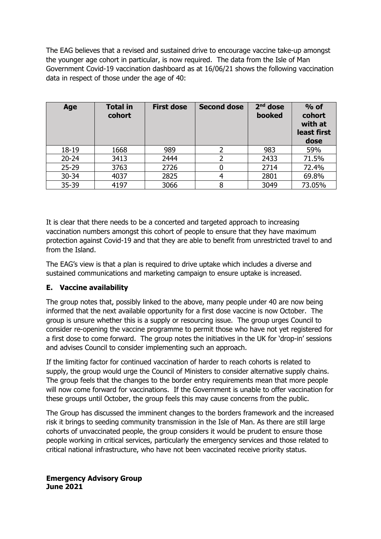The EAG believes that a revised and sustained drive to encourage vaccine take-up amongst the younger age cohort in particular, is now required. The data from the Isle of Man Government Covid-19 vaccination dashboard as at 16/06/21 shows the following vaccination data in respect of those under the age of 40:

| Age       | <b>Total in</b><br>cohort | <b>First dose</b> | <b>Second dose</b> | $2nd$ dose<br>booked | $%$ of<br>cohort<br>with at<br>least first<br>dose |
|-----------|---------------------------|-------------------|--------------------|----------------------|----------------------------------------------------|
| 18-19     | 1668                      | 989               | 2                  | 983                  | 59%                                                |
| $20 - 24$ | 3413                      | 2444              |                    | 2433                 | 71.5%                                              |
| $25 - 29$ | 3763                      | 2726              |                    | 2714                 | 72.4%                                              |
| $30 - 34$ | 4037                      | 2825              |                    | 2801                 | 69.8%                                              |
| 35-39     | 4197                      | 3066              |                    | 3049                 | 73.05%                                             |

It is clear that there needs to be a concerted and targeted approach to increasing vaccination numbers amongst this cohort of people to ensure that they have maximum protection against Covid-19 and that they are able to benefit from unrestricted travel to and from the Island.

The EAG's view is that a plan is required to drive uptake which includes a diverse and sustained communications and marketing campaign to ensure uptake is increased.

### **E. Vaccine availability**

The group notes that, possibly linked to the above, many people under 40 are now being informed that the next available opportunity for a first dose vaccine is now October. The group is unsure whether this is a supply or resourcing issue. The group urges Council to consider re-opening the vaccine programme to permit those who have not yet registered for a first dose to come forward. The group notes the initiatives in the UK for 'drop-in' sessions and advises Council to consider implementing such an approach.

If the limiting factor for continued vaccination of harder to reach cohorts is related to supply, the group would urge the Council of Ministers to consider alternative supply chains. The group feels that the changes to the border entry requirements mean that more people will now come forward for vaccinations. If the Government is unable to offer vaccination for these groups until October, the group feels this may cause concerns from the public.

The Group has discussed the imminent changes to the borders framework and the increased risk it brings to seeding community transmission in the Isle of Man. As there are still large cohorts of unvaccinated people, the group considers it would be prudent to ensure those people working in critical services, particularly the emergency services and those related to critical national infrastructure, who have not been vaccinated receive priority status.

#### **Emergency Advisory Group June 2021**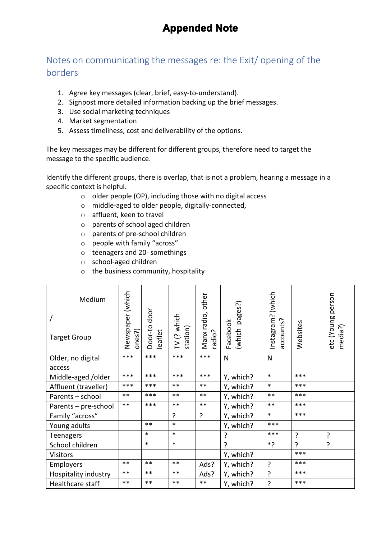# **Appended Note**

## Notes on communicating the messages re: the Exit/ opening of the borders

- 1. Agree key messages (clear, brief, easy-to-understand).
- 2. Signpost more detailed information backing up the brief messages.
- 3. Use social marketing techniques
- 4. Market segmentation
- 5. Assess timeliness, cost and deliverability of the options.

The key messages may be different for different groups, therefore need to target the message to the specific audience.

Identify the different groups, there is overlap, that is not a problem, hearing a message in a specific context is helpful.

- o older people (OP), including those with no digital access
- o middle-aged to older people, digitally-connected,
- o affluent, keen to travel
- o parents of school aged children
- o parents of pre-school children
- o people with family "across"
- o teenagers and 20- somethings
- o school-aged children
- o the business community, hospitality

| Medium               |                            |                         |                         | other                 |                    | (which                  |                | person                |
|----------------------|----------------------------|-------------------------|-------------------------|-----------------------|--------------------|-------------------------|----------------|-----------------------|
|                      |                            |                         |                         |                       | pages?)            |                         |                |                       |
| <b>Target Group</b>  | Newspaper (which<br>ones?) | Door-to door<br>leaflet | TV (? which<br>station) | Manx radio,<br>radio? | Facebook<br>(which | Instagram?<br>accounts? | Websites       | etc (Young<br>media?) |
| Older, no digital    | $***$                      | ***                     | $***$                   | $***$                 | $\mathsf{N}$       | N                       |                |                       |
| access               |                            |                         |                         |                       |                    |                         |                |                       |
| Middle-aged /older   | ***                        | ***                     | ***                     | ***                   | Y, which?          | $\ast$                  | ***            |                       |
| Affluent (traveller) | ***                        | ***                     | $***$                   | $***$                 | Y, which?          | $\ast$                  | $***$          |                       |
| Parents - school     | $***$                      | ***                     | $***$                   | $***$                 | Y, which?          | $***$                   | ***            |                       |
| Parents - pre-school | $***$                      | ***                     | $***$                   | $***$                 | Y, which?          | $***$                   | ***            |                       |
| Family "across"      |                            |                         | ?                       | ?                     | Y, which?          | $\ast$                  | ***            |                       |
| Young adults         |                            | $***$                   | $\ast$                  |                       | Y, which?          | ***                     |                |                       |
| Teenagers            |                            | $\ast$                  | $\ast$                  |                       | ?                  | ***                     | ?              | ?                     |
| School children      |                            | $\ast$                  | $\ast$                  |                       | ?                  | ?*                      | $\overline{?}$ | ?                     |
| <b>Visitors</b>      |                            |                         |                         |                       | Y, which?          |                         | ***            |                       |
| Employers            | $***$                      | $***$                   | $***$                   | Ads?                  | Y, which?          | ?                       | ***            |                       |
| Hospitality industry | $***$                      | $***$                   | $***$                   | Ads?                  | Y, which?          | ?                       | $***$          |                       |
| Healthcare staff     | $***$                      | $***$                   | $***$                   | $***$                 | Y, which?          | ?                       | $***$          |                       |